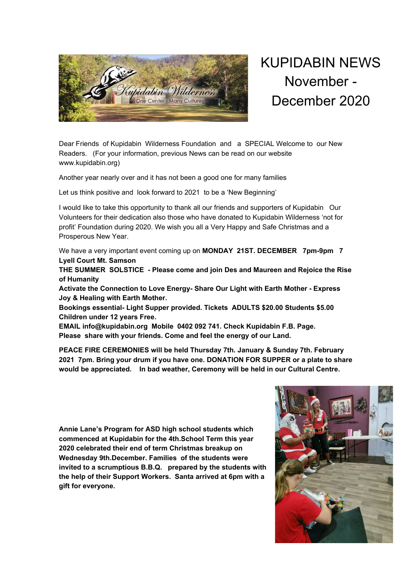

KUPIDABIN NEWS November - December 2020

Dear Friends of Kupidabin Wilderness Foundation and a SPECIAL Welcome to our New Readers. (For your information, previous News can be read on our website www.kupidabin.org)

Another year nearly over and it has not been a good one for many families

Let us think positive and look forward to 2021 to be a 'New Beginning'

I would like to take this opportunity to thank all our friends and supporters of Kupidabin Our Volunteers for their dedication also those who have donated to Kupidabin Wilderness 'not for profit' Foundation during 2020. We wish you all a Very Happy and Safe Christmas and a Prosperous New Year.

We have a very important event coming up on **MONDAY 21ST. DECEMBER 7pm-9pm 7 Lyell Court Mt. Samson**

**THE SUMMER SOLSTICE - Please come and join Des and Maureen and Rejoice the Rise of Humanity**

**Activate the Connection to Love Energy- Share Our Light with Earth Mother - Express Joy & Healing with Earth Mother.**

**Bookings essential- Light Supper provided. Tickets ADULTS \$20.00 Students \$5.00 Children under 12 years Free.**

**EMAIL info@kupidabin.org Mobile 0402 092 741. Check Kupidabin F.B. Page. Please share with your friends. Come and feel the energy of our Land.**

**PEACE FIRE CEREMONIES will be held Thursday 7th. January & Sunday 7th. February 2021 7pm. Bring your drum if you have one. DONATION FOR SUPPER or a plate to share would be appreciated. In bad weather, Ceremony will be held in our Cultural Centre.**

**Annie Lane's Program for ASD high school students which commenced at Kupidabin for the 4th.School Term this year 2020 celebrated their end of term Christmas breakup on Wednesday 9th.December. Families of the students were invited to a scrumptious B.B.Q. prepared by the students with the help of their Support Workers. Santa arrived at 6pm with a gift for everyone.**